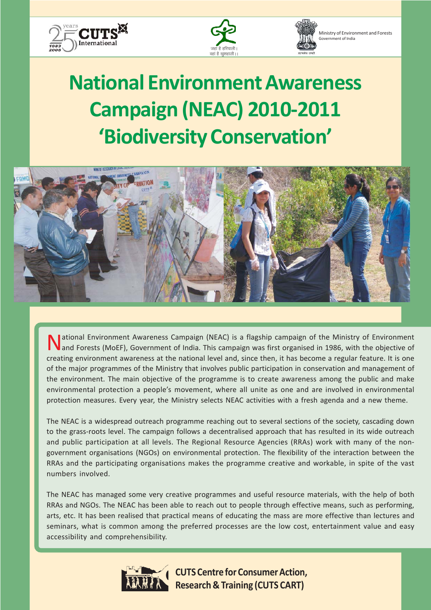



Ministry of Environment and Forests Government of India

# **National Environment Awareness Campaign (NEAC) 2010-2011 'Biodiversity Conservation'**



I ational Environment Awareness Campaign (NEAC) is a flagship campaign of the Ministry of Environment and Forests (MoEF), Government of India. This campaign was first organised in 1986, with the objective of creating environment awareness at the national level and, since then, it has become a regular feature. It is one of the major programmes of the Ministry that involves public participation in conservation and management of the environment. The main objective of the programme is to create awareness among the public and make environmental protection a people's movement, where all unite as one and are involved in environmental protection measures. Every year, the Ministry selects NEAC activities with a fresh agenda and a new theme.

The NEAC is a widespread outreach programme reaching out to several sections of the society, cascading down to the grass-roots level. The campaign follows a decentralised approach that has resulted in its wide outreach and public participation at all levels. The Regional Resource Agencies (RRAs) work with many of the nongovernment organisations (NGOs) on environmental protection. The flexibility of the interaction between the RRAs and the participating organisations makes the programme creative and workable, in spite of the vast numbers involved.

The NEAC has managed some very creative programmes and useful resource materials, with the help of both RRAs and NGOs. The NEAC has been able to reach out to people through effective means, such as performing, arts, etc. It has been realised that practical means of educating the mass are more effective than lectures and seminars, what is common among the preferred processes are the low cost, entertainment value and easy accessibility and comprehensibility.



**CUTS Centre for Consumer Action, Research & Training (CUTS CART)**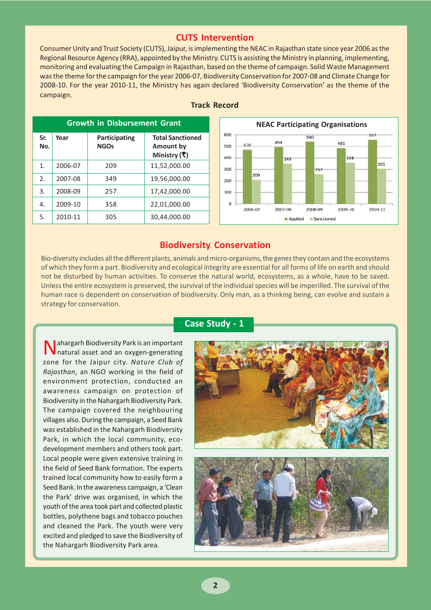# **CUTS Intervention**

Consumer Unity and Trust Society (CUTS), Jaipur, is implementing the NEAC in Rajasthan state since year 2006 as the Regional Resource Agency (RRA), appointed by the Ministry. CUTS is assisting the Ministry in planning, implementing, monitoring and evaluating the Campaign in Rajasthan, based on the theme of campaign. Solid Waste Management was the theme for the campaign for the year 2006-07, Biodiversity Conservation for 2007-08 and Climate Change for 2008-10. For the year 2010-11, the Ministry has again declared 'Biodiversity Conservation' as the theme of the campaign.

| <b>Growth in Disbursement Grant</b> |         |                              |                                                             |
|-------------------------------------|---------|------------------------------|-------------------------------------------------------------|
| Sr.<br>No.                          | Year    | Participating<br><b>NGOs</b> | <b>Total Sanctioned</b><br><b>Amount by</b><br>Ministry (そ) |
| 1.                                  | 2006-07 | 209                          | 11,52,000.00                                                |
| 2.                                  | 2007-08 | 349                          | 19,56,000.00                                                |
| 3.                                  | 2008-09 | 257                          | 17,42,000.00                                                |
| 4.                                  | 2009-10 | 358                          | 22,01,000.00                                                |
| 5.                                  | 2010-11 | 305                          | 30,44,000.00                                                |

#### **Track Record**



# **Biodiversity Conservation**

Bio-diversity includes all the different plants, animals and micro-organisms, the genes they contain and the ecosystems of which they form a part. Biodiversity and ecological integrity are essential for all forms of life on earth and should not be disturbed by human activities. To conserve the natural world, ecosystems, as a whole, have to be saved. Unless the entire ecosystem is preserved, the survival of the individual species will be imperilled. The survival of the human race is dependent on conservation of biodiversity. Only man, as a thinking being, can evolve and sustain a strategy for conservation.

Nahargarh Biodiversity Park is an important natural asset and an oxygen-generating zone for the Jaipur city. *Nature Club of Rajasthan*, an NGO working in the field of environment protection, conducted an awareness campaign on protection of Biodiversity in the Nahargarh Biodiversity Park. The campaign covered the neighbouring villages also. During the campaign, a Seed Bank was established in the Nahargarh Biodiversity Park, in which the local community, ecodevelopment members and others took part. Local people were given extensive training in the field of Seed Bank formation. The experts trained local community how to easily form a Seed Bank. In the awareness campaign, a 'Clean the Park' drive was organised, in which the youth of the area took part and collected plastic bottles, polythene bags and tobacco pouches and cleaned the Park. The youth were very excited and pledged to save the Biodiversity of the Nahargarh Biodiversity Park area.

#### **Case Study - 1**

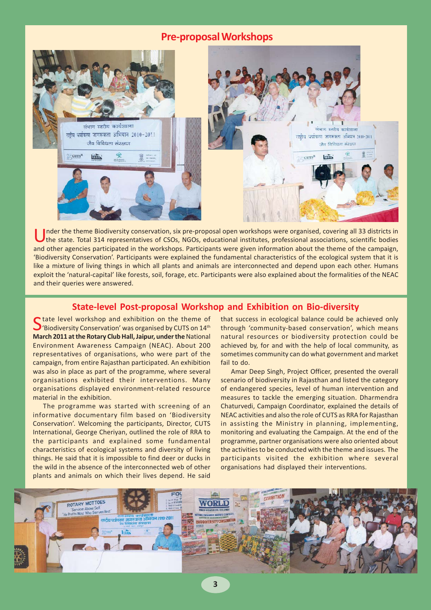# **Pre-proposal Workshops**



Inder the theme Biodiversity conservation, six pre-proposal open workshops were organised, covering all 33 districts in the state. Total 314 representatives of CSOs, NGOs, educational institutes, professional associations, and other agencies participated in the workshops. Participants were given information about the theme of the campaign, 'Biodiversity Conservation'. Participants were explained the fundamental characteristics of the ecological system that it is like a mixture of living things in which all plants and animals are interconnected and depend upon each other. Humans exploit the 'natural-capital' like forests, soil, forage, etc. Participants were also explained about the formalities of the NEAC and their queries were answered.

# **State-level Post-proposal Workshop and Exhibition on Bio-diversity**

State level workshop and exhibition on the theme of<br>'Biodiversity Conservation' was organised by CUTS on 14<sup>th</sup> **March 2011 at the Rotary Club Hall, Jaipur, under the** National Environment Awareness Campaign (NEAC). About 200 representatives of organisations, who were part of the campaign, from entire Rajasthan participated. An exhibition was also in place as part of the programme, where several organisations exhibited their interventions. Many organisations displayed environment-related resource material in the exhibition.

The programme was started with screening of an informative documentary film based on 'Biodiversity Conservation'. Welcoming the participants, Director, CUTS International, George Cheriyan, outlined the role of RRA to the participants and explained some fundamental characteristics of ecological systems and diversity of living things. He said that it is impossible to find deer or ducks in the wild in the absence of the interconnected web of other plants and animals on which their lives depend. He said

that success in ecological balance could be achieved only through 'community-based conservation', which means natural resources or biodiversity protection could be achieved by, for and with the help of local community, as sometimes community can do what government and market fail to do.

Amar Deep Singh, Project Officer, presented the overall scenario of biodiversity in Rajasthan and listed the category of endangered species, level of human intervention and measures to tackle the emerging situation. Dharmendra Chaturvedi, Campaign Coordinator, explained the details of NEAC activities and also the role of CUTS as RRA for Rajasthan in assisting the Ministry in planning, implementing, monitoring and evaluating the Campaign. At the end of the programme, partner organisations were also oriented about the activities to be conducted with the theme and issues. The participants visited the exhibition where several organisations had displayed their interventions.